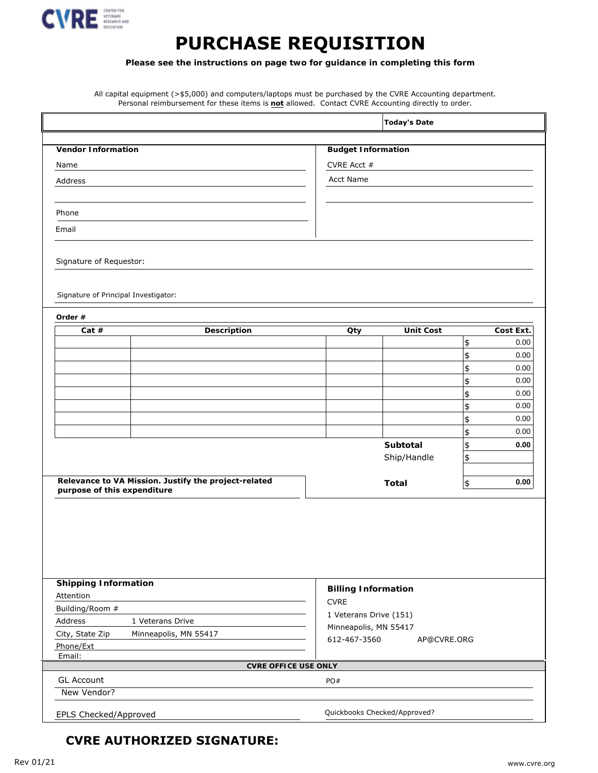

## **PURCHASE REQUISITION**

**Please see the instructions on page two for guidance in completing this form**

All capital equipment (>\$5,000) and computers/laptops must be purchased by the CVRE Accounting department. Personal reimbursement for these items is **not** allowed. Contact CVRE Accounting directly to order.

| Name                                                                                | CVRE Acct #                           |               |              |
|-------------------------------------------------------------------------------------|---------------------------------------|---------------|--------------|
| Address                                                                             | <b>Acct Name</b>                      |               |              |
|                                                                                     |                                       |               |              |
| Phone                                                                               |                                       |               |              |
| Email                                                                               |                                       |               |              |
| Signature of Requestor:                                                             |                                       |               |              |
| Signature of Principal Investigator:                                                |                                       |               |              |
| Order #                                                                             |                                       |               |              |
| <b>Description</b><br>Cat $#$                                                       | <b>Unit Cost</b><br>Oty               |               | Cost Ext.    |
|                                                                                     |                                       | \$            | 0.00         |
|                                                                                     |                                       | \$            | 0.00         |
|                                                                                     |                                       | \$            | 0.00         |
|                                                                                     |                                       | \$            | 0.00         |
|                                                                                     |                                       | \$            | 0.00         |
|                                                                                     |                                       | \$            | 0.00<br>0.00 |
|                                                                                     |                                       | \$            | 0.00         |
|                                                                                     | Subtotal                              | \$            | 0.00         |
|                                                                                     | Ship/Handle                           | \$<br>\$      |              |
|                                                                                     |                                       |               |              |
| Relevance to VA Mission. Justify the project-related<br>purpose of this expenditure | <b>Total</b>                          | $\frac{1}{2}$ | $0.00\,$     |
| <b>Shipping Information</b>                                                         |                                       |               |              |
| Attention                                                                           | <b>Billing Information</b>            |               |              |
| Building/Room #                                                                     | <b>CVRE</b>                           |               |              |
| Address<br>1 Veterans Drive                                                         | 1 Veterans Drive (151)                |               |              |
| City, State Zip<br>Minneapolis, MN 55417                                            | Minneapolis, MN 55417<br>612-467-3560 |               |              |
| Phone/Ext<br>Email:                                                                 | AP@CVRE.ORG                           |               |              |
|                                                                                     | <b>CVRE OFFICE USE ONLY</b>           |               |              |
| <b>GL Account</b><br>New Vendor?                                                    | PO#                                   |               |              |
| <b>EPLS Checked/Approved</b>                                                        | Quickbooks Checked/Approved?          |               |              |

## **CVRE AUTHORIZED SIGNATURE:**